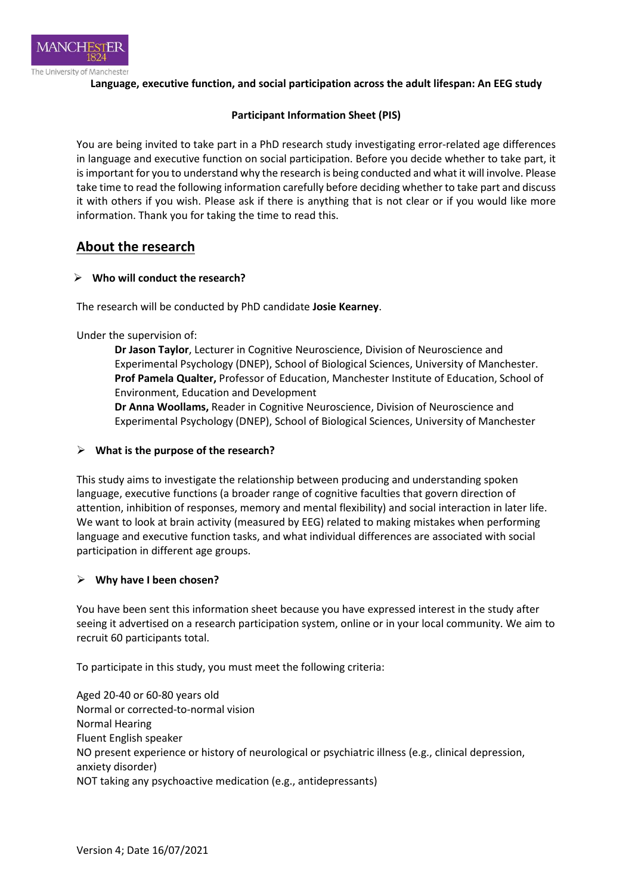

**Language, executive function, and social participation across the adult lifespan: An EEG study**

#### **Participant Information Sheet (PIS)**

You are being invited to take part in a PhD research study investigating error-related age differences in language and executive function on social participation. Before you decide whether to take part, it is important for you to understand why the research is being conducted and what it will involve. Please take time to read the following information carefully before deciding whether to take part and discuss it with others if you wish. Please ask if there is anything that is not clear or if you would like more information. Thank you for taking the time to read this.

## **About the research**

#### **Who will conduct the research?**

The research will be conducted by PhD candidate **Josie Kearney**.

Under the supervision of:

**Dr Jason Taylor**, Lecturer in Cognitive Neuroscience, Division of Neuroscience and Experimental Psychology (DNEP), School of Biological Sciences, University of Manchester. **Prof Pamela Qualter,** Professor of Education, Manchester Institute of Education, School of Environment, Education and Development

**Dr Anna Woollams,** Reader in Cognitive Neuroscience, Division of Neuroscience and Experimental Psychology (DNEP), School of Biological Sciences, University of Manchester

#### **What is the purpose of the research?**

This study aims to investigate the relationship between producing and understanding spoken language, executive functions (a broader range of cognitive faculties that govern direction of attention, inhibition of responses, memory and mental flexibility) and social interaction in later life. We want to look at brain activity (measured by EEG) related to making mistakes when performing language and executive function tasks, and what individual differences are associated with social participation in different age groups.

#### **Why have I been chosen?**

You have been sent this information sheet because you have expressed interest in the study after seeing it advertised on a research participation system, online or in your local community. We aim to recruit 60 participants total.

To participate in this study, you must meet the following criteria:

Aged 20-40 or 60-80 years old Normal or corrected-to-normal vision Normal Hearing Fluent English speaker NO present experience or history of neurological or psychiatric illness (e.g., clinical depression, anxiety disorder) NOT taking any psychoactive medication (e.g., antidepressants)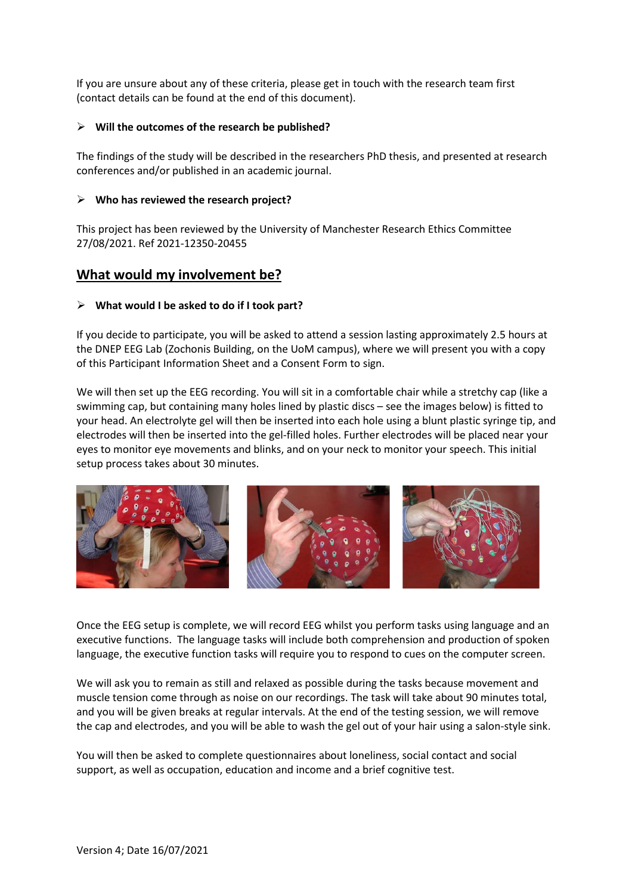If you are unsure about any of these criteria, please get in touch with the research team first (contact details can be found at the end of this document).

#### **Will the outcomes of the research be published?**

The findings of the study will be described in the researchers PhD thesis, and presented at research conferences and/or published in an academic journal.

#### **Who has reviewed the research project?**

This project has been reviewed by the University of Manchester Research Ethics Committee 27/08/2021. Ref 2021-12350-20455

### **What would my involvement be?**

#### **What would I be asked to do if I took part?**

If you decide to participate, you will be asked to attend a session lasting approximately 2.5 hours at the DNEP EEG Lab (Zochonis Building, on the UoM campus), where we will present you with a copy of this Participant Information Sheet and a Consent Form to sign.

We will then set up the EEG recording. You will sit in a comfortable chair while a stretchy cap (like a swimming cap, but containing many holes lined by plastic discs – see the images below) is fitted to your head. An electrolyte gel will then be inserted into each hole using a blunt plastic syringe tip, and electrodes will then be inserted into the gel-filled holes. Further electrodes will be placed near your eyes to monitor eye movements and blinks, and on your neck to monitor your speech. This initial setup process takes about 30 minutes.



Once the EEG setup is complete, we will record EEG whilst you perform tasks using language and an executive functions. The language tasks will include both comprehension and production of spoken language, the executive function tasks will require you to respond to cues on the computer screen.

We will ask you to remain as still and relaxed as possible during the tasks because movement and muscle tension come through as noise on our recordings. The task will take about 90 minutes total, and you will be given breaks at regular intervals. At the end of the testing session, we will remove the cap and electrodes, and you will be able to wash the gel out of your hair using a salon-style sink.

You will then be asked to complete questionnaires about loneliness, social contact and social support, as well as occupation, education and income and a brief cognitive test.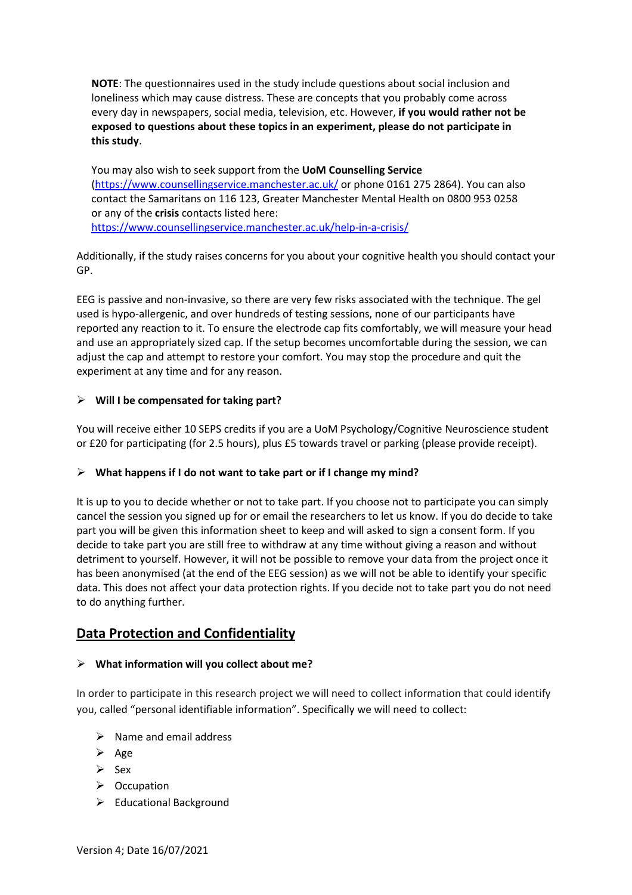**NOTE**: The questionnaires used in the study include questions about social inclusion and loneliness which may cause distress. These are concepts that you probably come across every day in newspapers, social media, television, etc. However, **if you would rather not be exposed to questions about these topics in an experiment, please do not participate in this study**.

You may also wish to seek support from the **UoM Counselling Service** (https://www.counsellingservice.manchester.ac.uk/ or phone 0161 275 2864). You can also contact the Samaritans on 116 123, Greater Manchester Mental Health on 0800 953 0258 or any of the **crisis** contacts listed here: https://www.counsellingservice.manchester.ac.uk/help-in-a-crisis/

Additionally, if the study raises concerns for you about your cognitive health you should contact your GP.

EEG is passive and non-invasive, so there are very few risks associated with the technique. The gel used is hypo-allergenic, and over hundreds of testing sessions, none of our participants have reported any reaction to it. To ensure the electrode cap fits comfortably, we will measure your head and use an appropriately sized cap. If the setup becomes uncomfortable during the session, we can adjust the cap and attempt to restore your comfort. You may stop the procedure and quit the experiment at any time and for any reason.

#### **Will I be compensated for taking part?**

You will receive either 10 SEPS credits if you are a UoM Psychology/Cognitive Neuroscience student or £20 for participating (for 2.5 hours), plus £5 towards travel or parking (please provide receipt).

#### **What happens if I do not want to take part or if I change my mind?**

It is up to you to decide whether or not to take part. If you choose not to participate you can simply cancel the session you signed up for or email the researchers to let us know. If you do decide to take part you will be given this information sheet to keep and will asked to sign a consent form. If you decide to take part you are still free to withdraw at any time without giving a reason and without detriment to yourself. However, it will not be possible to remove your data from the project once it has been anonymised (at the end of the EEG session) as we will not be able to identify your specific data. This does not affect your data protection rights. If you decide not to take part you do not need to do anything further.

# **Data Protection and Confidentiality**

#### **What information will you collect about me?**

In order to participate in this research project we will need to collect information that could identify you, called "personal identifiable information". Specifically we will need to collect:

- $\triangleright$  Name and email address
- $\triangleright$  Age
- $\triangleright$  Sex
- $\triangleright$  Occupation
- $\triangleright$  Educational Background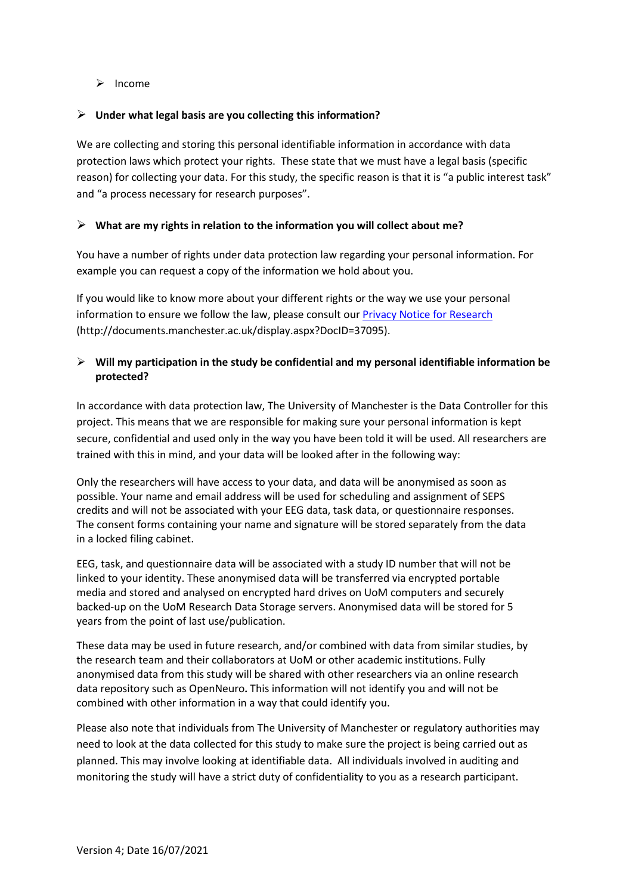$\triangleright$  Income

#### **Under what legal basis are you collecting this information?**

We are collecting and storing this personal identifiable information in accordance with data protection laws which protect your rights. These state that we must have a legal basis (specific reason) for collecting your data. For this study, the specific reason is that it is "a public interest task" and "a process necessary for research purposes".

#### **What are my rights in relation to the information you will collect about me?**

You have a number of rights under data protection law regarding your personal information. For example you can request a copy of the information we hold about you.

If you would like to know more about your different rights or the way we use your personal information to ensure we follow the law, please consult our Privacy Notice for Research (http://documents.manchester.ac.uk/display.aspx?DocID=37095).

#### **Will my participation in the study be confidential and my personal identifiable information be protected?**

In accordance with data protection law, The University of Manchester is the Data Controller for this project. This means that we are responsible for making sure your personal information is kept secure, confidential and used only in the way you have been told it will be used. All researchers are trained with this in mind, and your data will be looked after in the following way:

Only the researchers will have access to your data, and data will be anonymised as soon as possible. Your name and email address will be used for scheduling and assignment of SEPS credits and will not be associated with your EEG data, task data, or questionnaire responses. The consent forms containing your name and signature will be stored separately from the data in a locked filing cabinet.

EEG, task, and questionnaire data will be associated with a study ID number that will not be linked to your identity. These anonymised data will be transferred via encrypted portable media and stored and analysed on encrypted hard drives on UoM computers and securely backed-up on the UoM Research Data Storage servers. Anonymised data will be stored for 5 years from the point of last use/publication.

These data may be used in future research, and/or combined with data from similar studies, by the research team and their collaborators at UoM or other academic institutions. Fully anonymised data from this study will be shared with other researchers via an online research data repository such as OpenNeuro**.** This information will not identify you and will not be combined with other information in a way that could identify you.

Please also note that individuals from The University of Manchester or regulatory authorities may need to look at the data collected for this study to make sure the project is being carried out as planned. This may involve looking at identifiable data. All individuals involved in auditing and monitoring the study will have a strict duty of confidentiality to you as a research participant.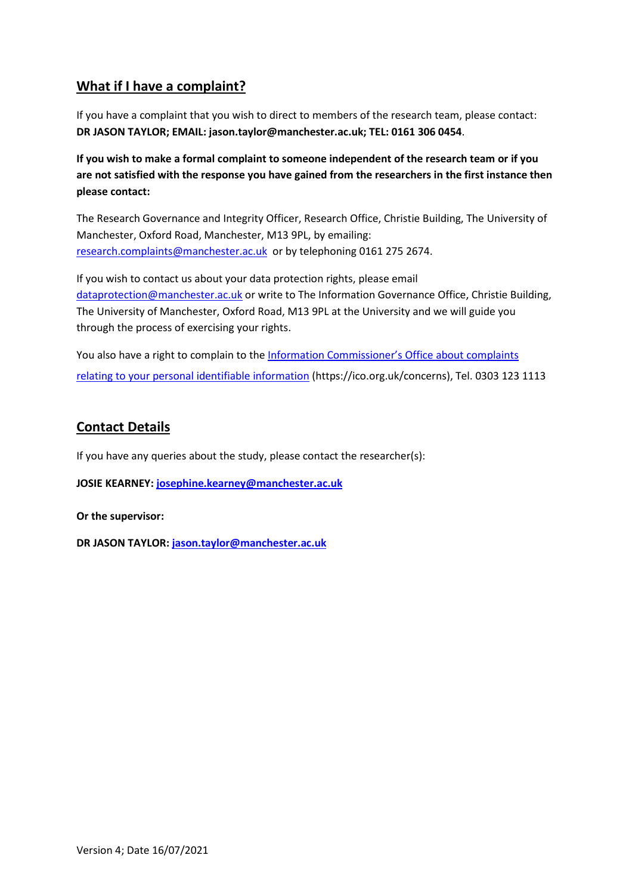# **What if I have a complaint?**

If you have a complaint that you wish to direct to members of the research team, please contact: **DR JASON TAYLOR; EMAIL: jason.taylor@manchester.ac.uk; TEL: 0161 306 0454**.

**If you wish to make a formal complaint to someone independent of the research team or if you are not satisfied with the response you have gained from the researchers in the first instance then please contact:** 

The Research Governance and Integrity Officer, Research Office, Christie Building, The University of Manchester, Oxford Road, Manchester, M13 9PL, by emailing: research.complaints@manchester.ac.uk or by telephoning 0161 275 2674.

If you wish to contact us about your data protection rights, please email dataprotection@manchester.ac.uk or write to The Information Governance Office, Christie Building, The University of Manchester, Oxford Road, M13 9PL at the University and we will guide you through the process of exercising your rights.

You also have a right to complain to the Information Commissioner's Office about complaints relating to your personal identifiable information (https://ico.org.uk/concerns), Tel. 0303 123 1113

# **Contact Details**

If you have any queries about the study, please contact the researcher(s):

**JOSIE KEARNEY: josephine.kearney@manchester.ac.uk**

**Or the supervisor:** 

**DR JASON TAYLOR: jason.taylor@manchester.ac.uk**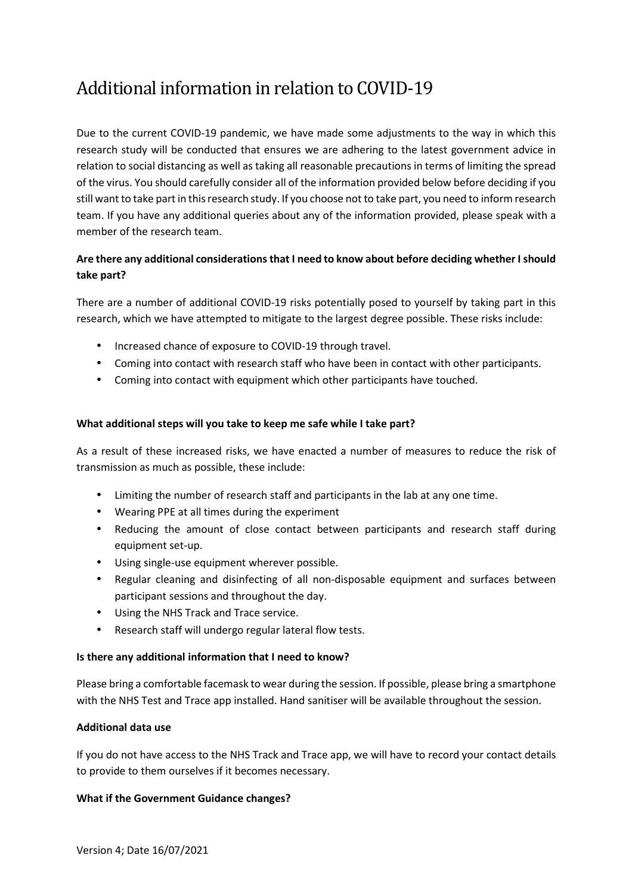# Additional information in relation to COVID-19

Due to the current COVID-19 pandemic, we have made some adjustments to the way in which this research study will be conducted that ensures we are adhering to the latest government advice in relation to social distancing as well as taking all reasonable precautions in terms of limiting the spread of the virus. You should carefully consider all of the information provided below before deciding if you still want to take part in this research study. If you choose not to take part, you need to inform research team. If you have any additional queries about any of the information provided, please speak with a member of the research team.

## **Are there any additional considerations that I need to know about before deciding whether I should take part?**

There are a number of additional COVID-19 risks potentially posed to yourself by taking part in this research, which we have attempted to mitigate to the largest degree possible. These risks include:

- Increased chance of exposure to COVID-19 through travel.
- Coming into contact with research staff who have been in contact with other participants.
- Coming into contact with equipment which other participants have touched.

#### **What additional steps will you take to keep me safe while I take part?**

As a result of these increased risks, we have enacted a number of measures to reduce the risk of transmission as much as possible, these include:

- Limiting the number of research staff and participants in the lab at any one time.
- Wearing PPE at all times during the experiment
- Reducing the amount of close contact between participants and research staff during equipment set-up.
- Using single-use equipment wherever possible.
- Regular cleaning and disinfecting of all non-disposable equipment and surfaces between participant sessions and throughout the day.
- Using the NHS Track and Trace service.
- Research staff will undergo regular lateral flow tests.

#### **Is there any additional information that I need to know?**

Please bring a comfortable facemask to wear during the session. If possible, please bring a smartphone with the NHS Test and Trace app installed. Hand sanitiser will be available throughout the session.

#### **Additional data use**

If you do not have access to the NHS Track and Trace app, we will have to record your contact details to provide to them ourselves if it becomes necessary.

#### **What if the Government Guidance changes?**